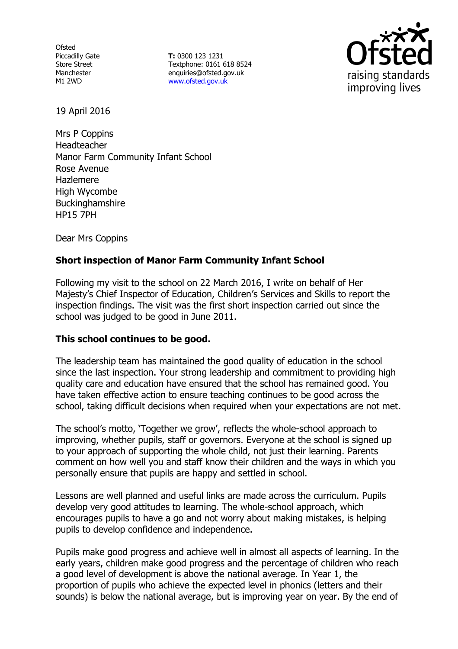**Ofsted** Piccadilly Gate Store Street Manchester M1 2WD

**T:** 0300 123 1231 Textphone: 0161 618 8524 enquiries@ofsted.gov.uk www.ofsted.gov.uk



19 April 2016

Mrs P Coppins Headteacher Manor Farm Community Infant School Rose Avenue Hazlemere High Wycombe Buckinghamshire HP15 7PH

Dear Mrs Coppins

# **Short inspection of Manor Farm Community Infant School**

Following my visit to the school on 22 March 2016, I write on behalf of Her Majesty's Chief Inspector of Education, Children's Services and Skills to report the inspection findings. The visit was the first short inspection carried out since the school was judged to be good in June 2011.

## **This school continues to be good.**

The leadership team has maintained the good quality of education in the school since the last inspection. Your strong leadership and commitment to providing high quality care and education have ensured that the school has remained good. You have taken effective action to ensure teaching continues to be good across the school, taking difficult decisions when required when your expectations are not met.

The school's motto, 'Together we grow', reflects the whole-school approach to improving, whether pupils, staff or governors. Everyone at the school is signed up to your approach of supporting the whole child, not just their learning. Parents comment on how well you and staff know their children and the ways in which you personally ensure that pupils are happy and settled in school.

Lessons are well planned and useful links are made across the curriculum. Pupils develop very good attitudes to learning. The whole-school approach, which encourages pupils to have a go and not worry about making mistakes, is helping pupils to develop confidence and independence.

Pupils make good progress and achieve well in almost all aspects of learning. In the early years, children make good progress and the percentage of children who reach a good level of development is above the national average. In Year 1, the proportion of pupils who achieve the expected level in phonics (letters and their sounds) is below the national average, but is improving year on year. By the end of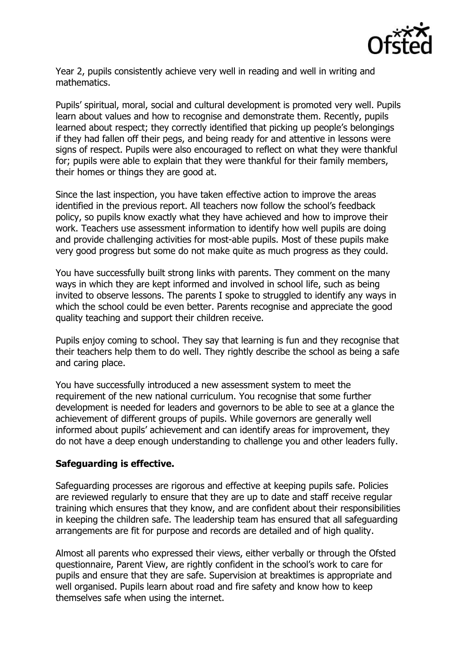

Year 2, pupils consistently achieve very well in reading and well in writing and mathematics.

Pupils' spiritual, moral, social and cultural development is promoted very well. Pupils learn about values and how to recognise and demonstrate them. Recently, pupils learned about respect; they correctly identified that picking up people's belongings if they had fallen off their pegs, and being ready for and attentive in lessons were signs of respect. Pupils were also encouraged to reflect on what they were thankful for; pupils were able to explain that they were thankful for their family members, their homes or things they are good at.

Since the last inspection, you have taken effective action to improve the areas identified in the previous report. All teachers now follow the school's feedback policy, so pupils know exactly what they have achieved and how to improve their work. Teachers use assessment information to identify how well pupils are doing and provide challenging activities for most-able pupils. Most of these pupils make very good progress but some do not make quite as much progress as they could.

You have successfully built strong links with parents. They comment on the many ways in which they are kept informed and involved in school life, such as being invited to observe lessons. The parents I spoke to struggled to identify any ways in which the school could be even better. Parents recognise and appreciate the good quality teaching and support their children receive.

Pupils enjoy coming to school. They say that learning is fun and they recognise that their teachers help them to do well. They rightly describe the school as being a safe and caring place.

You have successfully introduced a new assessment system to meet the requirement of the new national curriculum. You recognise that some further development is needed for leaders and governors to be able to see at a glance the achievement of different groups of pupils. While governors are generally well informed about pupils' achievement and can identify areas for improvement, they do not have a deep enough understanding to challenge you and other leaders fully.

## **Safeguarding is effective.**

Safeguarding processes are rigorous and effective at keeping pupils safe. Policies are reviewed regularly to ensure that they are up to date and staff receive regular training which ensures that they know, and are confident about their responsibilities in keeping the children safe. The leadership team has ensured that all safeguarding arrangements are fit for purpose and records are detailed and of high quality.

Almost all parents who expressed their views, either verbally or through the Ofsted questionnaire, Parent View, are rightly confident in the school's work to care for pupils and ensure that they are safe. Supervision at breaktimes is appropriate and well organised. Pupils learn about road and fire safety and know how to keep themselves safe when using the internet.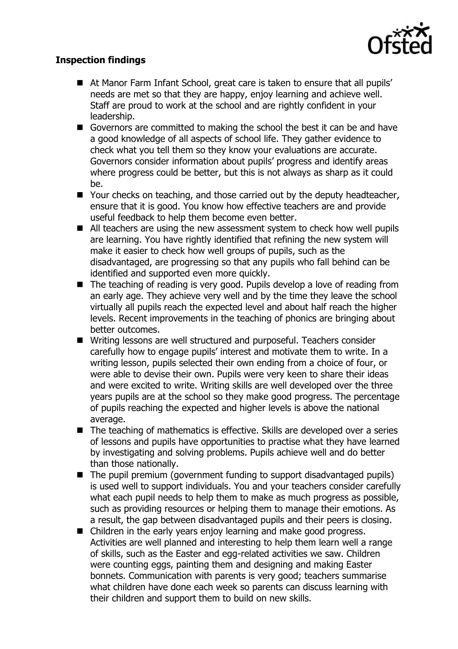

# **Inspection findings**

- At Manor Farm Infant School, great care is taken to ensure that all pupils' needs are met so that they are happy, enjoy learning and achieve well. Staff are proud to work at the school and are rightly confident in your leadership.
- Governors are committed to making the school the best it can be and have a good knowledge of all aspects of school life. They gather evidence to check what you tell them so they know your evaluations are accurate. Governors consider information about pupils' progress and identify areas where progress could be better, but this is not always as sharp as it could be.
- Your checks on teaching, and those carried out by the deputy headteacher, ensure that it is good. You know how effective teachers are and provide useful feedback to help them become even better.
- All teachers are using the new assessment system to check how well pupils are learning. You have rightly identified that refining the new system will make it easier to check how well groups of pupils, such as the disadvantaged, are progressing so that any pupils who fall behind can be identified and supported even more quickly.
- The teaching of reading is very good. Pupils develop a love of reading from an early age. They achieve very well and by the time they leave the school virtually all pupils reach the expected level and about half reach the higher levels. Recent improvements in the teaching of phonics are bringing about better outcomes.
- Writing lessons are well structured and purposeful. Teachers consider carefully how to engage pupils' interest and motivate them to write. In a writing lesson, pupils selected their own ending from a choice of four, or were able to devise their own. Pupils were very keen to share their ideas and were excited to write. Writing skills are well developed over the three years pupils are at the school so they make good progress. The percentage of pupils reaching the expected and higher levels is above the national average.
- The teaching of mathematics is effective. Skills are developed over a series of lessons and pupils have opportunities to practise what they have learned by investigating and solving problems. Pupils achieve well and do better than those nationally.
- $\blacksquare$  The pupil premium (government funding to support disadvantaged pupils) is used well to support individuals. You and your teachers consider carefully what each pupil needs to help them to make as much progress as possible, such as providing resources or helping them to manage their emotions. As a result, the gap between disadvantaged pupils and their peers is closing.
- Children in the early years enjoy learning and make good progress. Activities are well planned and interesting to help them learn well a range of skills, such as the Easter and egg-related activities we saw. Children were counting eggs, painting them and designing and making Easter bonnets. Communication with parents is very good; teachers summarise what children have done each week so parents can discuss learning with their children and support them to build on new skills.